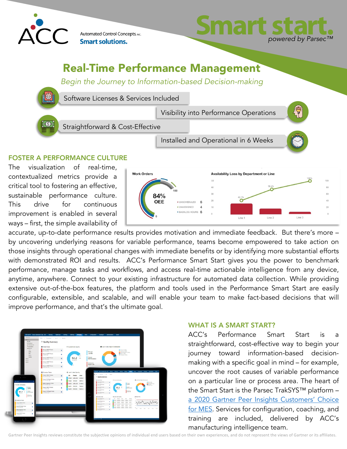

Automated Control Concepts, INC. **Smart solutions.** 



## Real-Time Performance Management

*Begin the Journey to Information-based Decision-making*



Software Licenses & Services Included

Straightforward & Cost-Effective

Visibility into Performance Operations

Installed and Operational in 6 Weeks

### FOSTER A PERFORMANCE CULTURE

The visualization of real-time, contextualized metrics provide a critical tool to fostering an effective, sustainable performance culture. This drive for continuous improvement is enabled in several ways – first, the simple availability of



accurate, up-to-date performance results provides motivation and immediate feedback. But there's more – by uncovering underlying reasons for variable performance, teams become empowered to take action on those insights through operational changes with immediate benefits or by identifying more substantial efforts with demonstrated ROI and results. ACC's Performance Smart Start gives you the power to benchmark performance, manage tasks and workflows, and access real-time actionable intelligence from any device, anytime, anywhere. Connect to your existing infrastructure for automated data collection. While providing extensive out-of-the-box features, the platform and tools used in the Performance Smart Start are easily configurable, extensible, and scalable, and will enable your team to make fact-based decisions that will improve performance, and that's the ultimate goal.



#### WHAT IS A SMART START?

ACC's Performance Smart Start is a straightforward, cost-effective way to begin your journey toward information-based decisionmaking with a specific goal in mind – for example, uncover the root causes of variable performance on a particular line or process area. The heart of the Smart Start is the Parsec TrakSYS™ platform – a 2020 Gartner Peer Insights Customers' Choice for MES. Services for configuration, coaching, and training are included, delivered by ACC's manufacturing intelligence team.

Gartner Peer Insights reviews constitute the subjective opinions of individual end users based on their own experiences, and do not represent the views of Gartner or its affiliates.